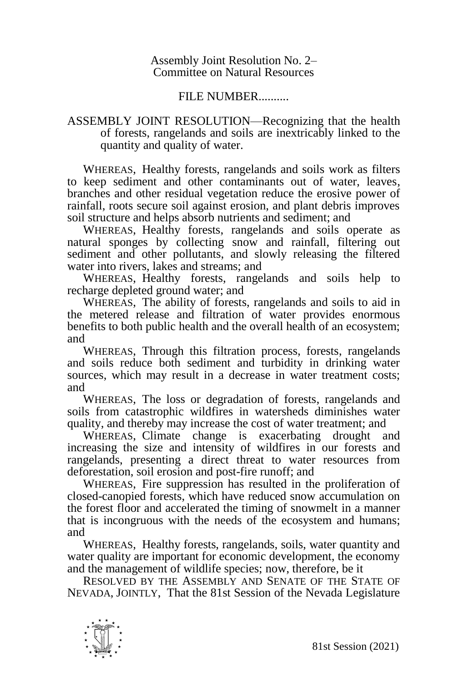## Assembly Joint Resolution No. 2– Committee on Natural Resources

## FILE NUMBER..........

## ASSEMBLY JOINT RESOLUTION—Recognizing that the health of forests, rangelands and soils are inextricably linked to the quantity and quality of water.

WHEREAS, Healthy forests, rangelands and soils work as filters to keep sediment and other contaminants out of water, leaves, branches and other residual vegetation reduce the erosive power of rainfall, roots secure soil against erosion, and plant debris improves soil structure and helps absorb nutrients and sediment; and

WHEREAS, Healthy forests, rangelands and soils operate as natural sponges by collecting snow and rainfall, filtering out sediment and other pollutants, and slowly releasing the filtered water into rivers, lakes and streams; and

WHEREAS, Healthy forests, rangelands and soils help to recharge depleted ground water; and

WHEREAS, The ability of forests, rangelands and soils to aid in the metered release and filtration of water provides enormous benefits to both public health and the overall health of an ecosystem; and

WHEREAS, Through this filtration process, forests, rangelands and soils reduce both sediment and turbidity in drinking water sources, which may result in a decrease in water treatment costs; and

WHEREAS, The loss or degradation of forests, rangelands and soils from catastrophic wildfires in watersheds diminishes water quality, and thereby may increase the cost of water treatment; and

WHEREAS, Climate change is exacerbating drought and increasing the size and intensity of wildfires in our forests and rangelands, presenting a direct threat to water resources from deforestation, soil erosion and post-fire runoff; and

WHEREAS, Fire suppression has resulted in the proliferation of closed-canopied forests, which have reduced snow accumulation on the forest floor and accelerated the timing of snowmelt in a manner that is incongruous with the needs of the ecosystem and humans; and

WHEREAS, Healthy forests, rangelands, soils, water quantity and water quality are important for economic development, the economy and the management of wildlife species; now, therefore, be it

RESOLVED BY THE ASSEMBLY AND SENATE OF THE STATE OF NEVADA, JOINTLY, That the 81st Session of the Nevada Legislature